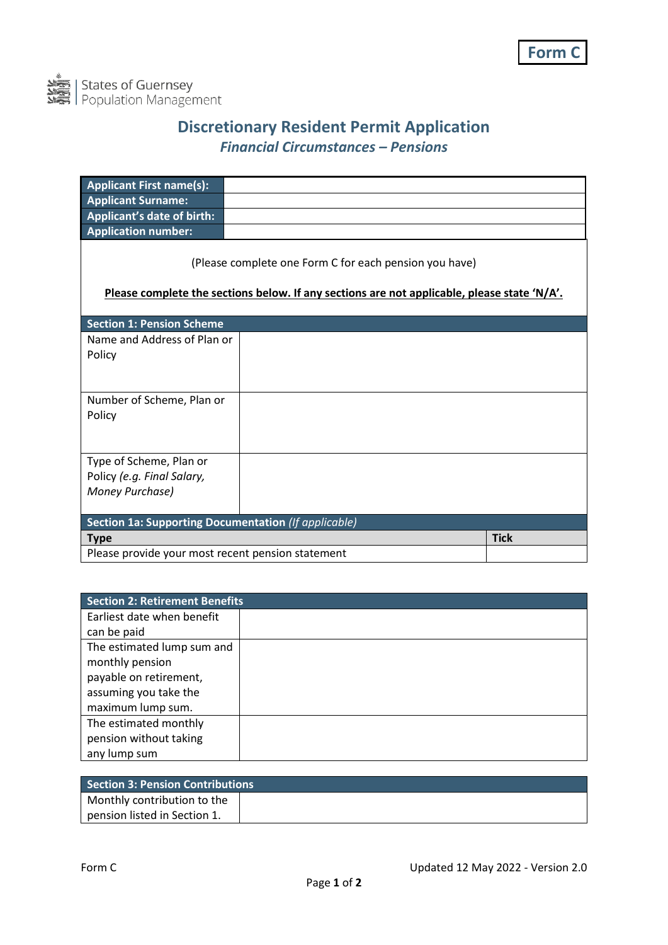

## **Discretionary Resident Permit Application** *Financial Circumstances – Pensions*

| <b>Applicant First name(s):</b>                                                                                                                       |  |             |
|-------------------------------------------------------------------------------------------------------------------------------------------------------|--|-------------|
| <b>Applicant Surname:</b>                                                                                                                             |  |             |
| <b>Applicant's date of birth:</b>                                                                                                                     |  |             |
| <b>Application number:</b>                                                                                                                            |  |             |
| (Please complete one Form C for each pension you have)<br>Please complete the sections below. If any sections are not applicable, please state 'N/A'. |  |             |
| <b>Section 1: Pension Scheme</b>                                                                                                                      |  |             |
| Name and Address of Plan or                                                                                                                           |  |             |
| Policy                                                                                                                                                |  |             |
|                                                                                                                                                       |  |             |
| Number of Scheme, Plan or                                                                                                                             |  |             |
| Policy                                                                                                                                                |  |             |
|                                                                                                                                                       |  |             |
| Type of Scheme, Plan or                                                                                                                               |  |             |
| Policy (e.g. Final Salary,                                                                                                                            |  |             |
| Money Purchase)                                                                                                                                       |  |             |
|                                                                                                                                                       |  |             |
| <b>Section 1a: Supporting Documentation</b> (If applicable)                                                                                           |  |             |
| <b>Type</b>                                                                                                                                           |  | <b>Tick</b> |
| Please provide your most recent pension statement                                                                                                     |  |             |

| Section 2: Retirement Benefits |  |  |
|--------------------------------|--|--|
| Earliest date when benefit     |  |  |
| can be paid                    |  |  |
| The estimated lump sum and     |  |  |
| monthly pension                |  |  |
| payable on retirement,         |  |  |
| assuming you take the          |  |  |
| maximum lump sum.              |  |  |
| The estimated monthly          |  |  |
| pension without taking         |  |  |
| any lump sum                   |  |  |

| <b>Section 3: Pension Contributions</b> |  |
|-----------------------------------------|--|
| Monthly contribution to the             |  |
| pension listed in Section 1.            |  |